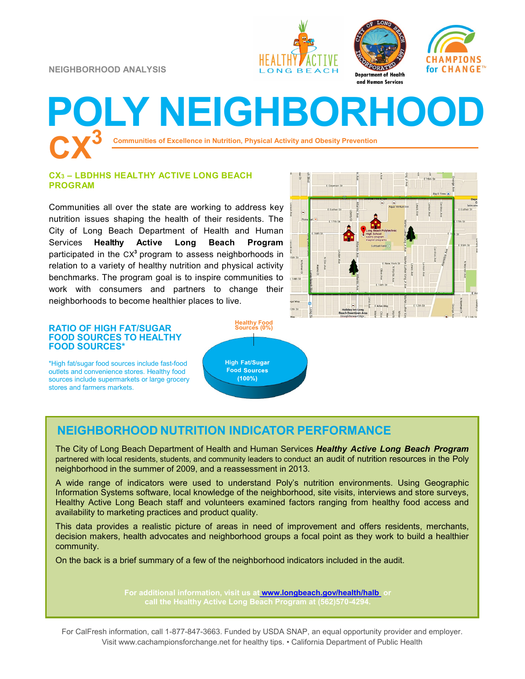**NEIGHBORHOOD ANALYSIS**







# **Communities of Excellence in Nutrition, Physical Activity and Obesity Prevention POLY NEIGHBORHOO**

#### **CX<sup>3</sup> – LBDHHS HEALTHY ACTIVE LONG BEACH PROGRAM**

Communities all over the state are working to address key nutrition issues shaping the health of their residents. The City of Long Beach Department of Health and Human Services **Healthy Active Long Beach Program**  participated in the CX<sup>3</sup> program to assess neighborhoods in relation to a variety of healthy nutrition and physical activity benchmarks. The program goal is to inspire communities to work with consumers and partners to change their neighborhoods to become healthier places to live.



### **RATIO OF HIGH FAT/SUGAR FOOD SOURCES TO HEALTHY FOOD SOURCES\***

\*High fat/sugar food sources include fast-food outlets and convenience stores. Healthy food sources include supermarkets or large grocery stores and farmers markets.

**Healthy Food Sources (0%)High Food**  $(100\%)$ 

### **NEIGHBORHOOD NUTRITION INDICATOR PERFORMANCE**

The City of Long Beach Department of Health and Human Services *Healthy Active Long Beach Program*  partnered with local residents, students, and community leaders to conduct an audit of nutrition resources in the Poly neighborhood in the summer of 2009, and a reassessment in 2013.

A wide range of indicators were used to understand Poly's nutrition environments. Using Geographic Information Systems software, local knowledge of the neighborhood, site visits, interviews and store surveys, Healthy Active Long Beach staff and volunteers examined factors ranging from healthy food access and availability to marketing practices and product quality.

This data provides a realistic picture of areas in need of improvement and offers residents, merchants, decision makers, health advocates and neighborhood groups a focal point as they work to build a healthier community.

On the back is a brief summary of a few of the neighborhood indicators included in the audit.

**For additional information, visit us at [www.longbeach.gov/health/halb](http://%20www.longbeach.gov/health%20) or** 

For CalFresh information, call 1-877-847-3663. Funded by USDA SNAP, an equal opportunity provider and employer. Visit www.cachampionsforchange.net for healthy tips. • California Department of Public Health